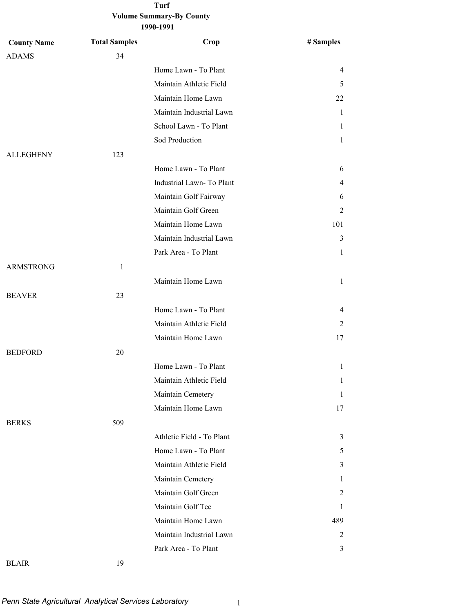| <b>County Name</b> | <b>Total Samples</b> | Crop                      | # Samples    |
|--------------------|----------------------|---------------------------|--------------|
| <b>ADAMS</b>       | 34                   |                           |              |
|                    |                      | Home Lawn - To Plant      | 4            |
|                    |                      | Maintain Athletic Field   | 5            |
|                    |                      | Maintain Home Lawn        | 22           |
|                    |                      | Maintain Industrial Lawn  | 1            |
|                    |                      | School Lawn - To Plant    | 1            |
|                    |                      | Sod Production            | 1            |
| <b>ALLEGHENY</b>   | 123                  |                           |              |
|                    |                      | Home Lawn - To Plant      | 6            |
|                    |                      | Industrial Lawn-To Plant  | 4            |
|                    |                      | Maintain Golf Fairway     | 6            |
|                    |                      | Maintain Golf Green       | 2            |
|                    |                      | Maintain Home Lawn        | 101          |
|                    |                      | Maintain Industrial Lawn  | 3            |
|                    |                      | Park Area - To Plant      | 1            |
| <b>ARMSTRONG</b>   | 1                    |                           |              |
|                    |                      | Maintain Home Lawn        | 1            |
| <b>BEAVER</b>      | 23                   |                           |              |
|                    |                      | Home Lawn - To Plant      | 4            |
|                    |                      | Maintain Athletic Field   | 2            |
|                    |                      | Maintain Home Lawn        | 17           |
| <b>BEDFORD</b>     | 20                   |                           |              |
|                    |                      | Home Lawn - To Plant      | 1            |
|                    |                      | Maintain Athletic Field   | $\mathbf{1}$ |
|                    |                      | Maintain Cemetery         | 1            |
|                    |                      | Maintain Home Lawn        | 17           |
| <b>BERKS</b>       | 509                  |                           |              |
|                    |                      | Athletic Field - To Plant | 3            |
|                    |                      | Home Lawn - To Plant      | 5            |
|                    |                      | Maintain Athletic Field   | 3            |
|                    |                      | Maintain Cemetery         | 1            |
|                    |                      | Maintain Golf Green       | 2            |
|                    |                      | Maintain Golf Tee         | 1            |
|                    |                      | Maintain Home Lawn        | 489          |
|                    |                      | Maintain Industrial Lawn  | 2            |
|                    |                      | Park Area - To Plant      | 3            |
| <b>BLAIR</b>       | 19                   |                           |              |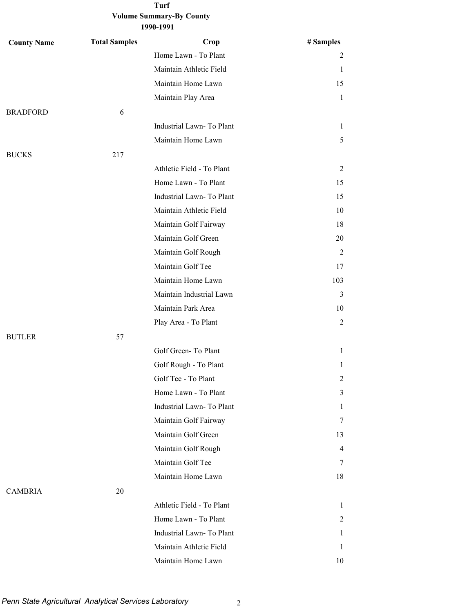**1990-1991**

| <b>County Name</b> | <b>Total Samples</b> | Crop                      | # Samples      |
|--------------------|----------------------|---------------------------|----------------|
|                    |                      | Home Lawn - To Plant      | 2              |
|                    |                      | Maintain Athletic Field   | 1              |
|                    |                      | Maintain Home Lawn        | 15             |
|                    |                      | Maintain Play Area        | 1              |
| <b>BRADFORD</b>    | 6                    |                           |                |
|                    |                      | Industrial Lawn-To Plant  | 1              |
|                    |                      | Maintain Home Lawn        | 5              |
| <b>BUCKS</b>       | 217                  |                           |                |
|                    |                      | Athletic Field - To Plant | 2              |
|                    |                      | Home Lawn - To Plant      | 15             |
|                    |                      | Industrial Lawn- To Plant | 15             |
|                    |                      | Maintain Athletic Field   | 10             |
|                    |                      | Maintain Golf Fairway     | 18             |
|                    |                      | Maintain Golf Green       | 20             |
|                    |                      | Maintain Golf Rough       | 2              |
|                    |                      | Maintain Golf Tee         | 17             |
|                    |                      | Maintain Home Lawn        | 103            |
|                    |                      | Maintain Industrial Lawn  | 3              |
|                    |                      | Maintain Park Area        | 10             |
|                    |                      | Play Area - To Plant      | 2              |
| <b>BUTLER</b>      | 57                   |                           |                |
|                    |                      | Golf Green-To Plant       | $\mathbf{1}$   |
|                    |                      | Golf Rough - To Plant     | 1              |
|                    |                      | Golf Tee - To Plant       | $\overline{c}$ |
|                    |                      | Home Lawn - To Plant      | 3              |
|                    |                      | Industrial Lawn-To Plant  | 1              |
|                    |                      | Maintain Golf Fairway     | 7              |
|                    |                      | Maintain Golf Green       | 13             |
|                    |                      | Maintain Golf Rough       | $\overline{4}$ |
|                    |                      | Maintain Golf Tee         | 7              |
|                    |                      | Maintain Home Lawn        | 18             |
| <b>CAMBRIA</b>     | 20                   |                           |                |
|                    |                      | Athletic Field - To Plant | 1              |
|                    |                      | Home Lawn - To Plant      | 2              |
|                    |                      | Industrial Lawn-To Plant  | 1              |
|                    |                      | Maintain Athletic Field   | 1              |
|                    |                      | Maintain Home Lawn        | 10             |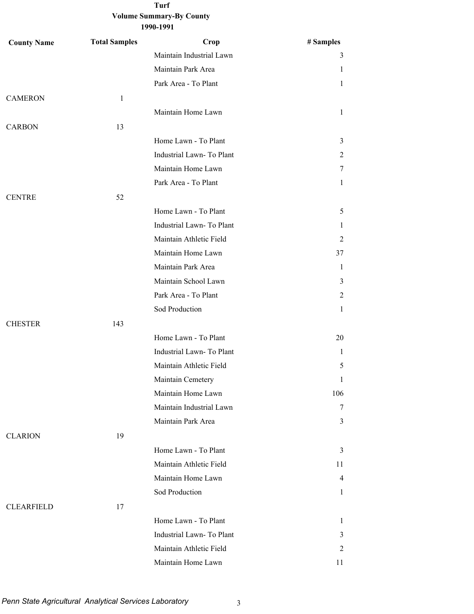| <b>County Name</b> | <b>Total Samples</b> | Crop                      | # Samples      |
|--------------------|----------------------|---------------------------|----------------|
|                    |                      | Maintain Industrial Lawn  | 3              |
|                    |                      | Maintain Park Area        | 1              |
|                    |                      | Park Area - To Plant      | $\mathbf{1}$   |
| <b>CAMERON</b>     | $\mathbf{1}$         |                           |                |
|                    |                      | Maintain Home Lawn        | $\mathbf{1}$   |
| <b>CARBON</b>      | 13                   |                           |                |
|                    |                      | Home Lawn - To Plant      | 3              |
|                    |                      | Industrial Lawn-To Plant  | $\overline{2}$ |
|                    |                      | Maintain Home Lawn        | $\tau$         |
|                    |                      | Park Area - To Plant      | $\mathbf{1}$   |
| <b>CENTRE</b>      | 52                   |                           |                |
|                    |                      | Home Lawn - To Plant      | 5              |
|                    |                      | Industrial Lawn-To Plant  | 1              |
|                    |                      | Maintain Athletic Field   | 2              |
|                    |                      | Maintain Home Lawn        | 37             |
|                    |                      | Maintain Park Area        | 1              |
|                    |                      | Maintain School Lawn      | 3              |
|                    |                      | Park Area - To Plant      | 2              |
|                    |                      | Sod Production            | $\mathbf{1}$   |
| <b>CHESTER</b>     | 143                  |                           |                |
|                    |                      | Home Lawn - To Plant      | 20             |
|                    |                      | Industrial Lawn- To Plant | $\mathbf{1}$   |
|                    |                      | Maintain Athletic Field   | 5              |
|                    |                      | Maintain Cemetery         | 1              |
|                    |                      | Maintain Home Lawn        | 106            |
|                    |                      | Maintain Industrial Lawn  | 7              |
|                    |                      | Maintain Park Area        | 3              |
| <b>CLARION</b>     | 19                   |                           |                |
|                    |                      | Home Lawn - To Plant      | 3              |
|                    |                      | Maintain Athletic Field   | 11             |
|                    |                      | Maintain Home Lawn        | $\overline{4}$ |
|                    |                      | Sod Production            | $\mathbf{1}$   |
| <b>CLEARFIELD</b>  | 17                   |                           |                |
|                    |                      | Home Lawn - To Plant      | 1              |
|                    |                      | Industrial Lawn-To Plant  | 3              |
|                    |                      | Maintain Athletic Field   | 2              |
|                    |                      | Maintain Home Lawn        | 11             |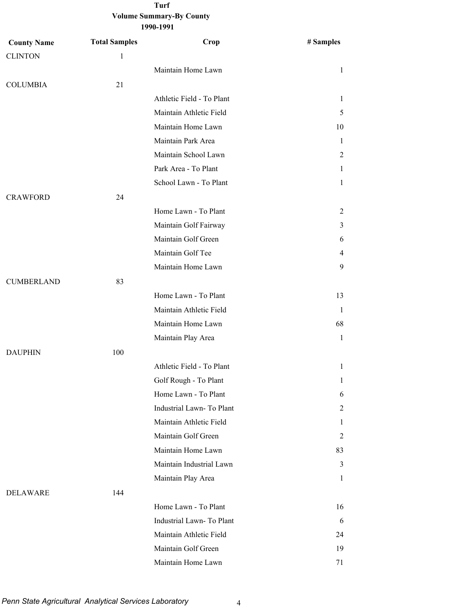| <b>County Name</b> | <b>Total Samples</b> | Crop                      | # Samples    |
|--------------------|----------------------|---------------------------|--------------|
| <b>CLINTON</b>     | $\mathbf{1}$         |                           |              |
|                    |                      | Maintain Home Lawn        | $\mathbf{1}$ |
| <b>COLUMBIA</b>    | 21                   |                           |              |
|                    |                      | Athletic Field - To Plant | 1            |
|                    |                      | Maintain Athletic Field   | 5            |
|                    |                      | Maintain Home Lawn        | 10           |
|                    |                      | Maintain Park Area        | 1            |
|                    |                      | Maintain School Lawn      | 2            |
|                    |                      | Park Area - To Plant      | 1            |
|                    |                      | School Lawn - To Plant    | $\mathbf{1}$ |
| <b>CRAWFORD</b>    | 24                   |                           |              |
|                    |                      | Home Lawn - To Plant      | 2            |
|                    |                      | Maintain Golf Fairway     | 3            |
|                    |                      | Maintain Golf Green       | 6            |
|                    |                      | Maintain Golf Tee         | 4            |
|                    |                      | Maintain Home Lawn        | 9            |
| <b>CUMBERLAND</b>  | 83                   |                           |              |
|                    |                      | Home Lawn - To Plant      | 13           |
|                    |                      | Maintain Athletic Field   | 1            |
|                    |                      | Maintain Home Lawn        | 68           |
|                    |                      | Maintain Play Area        | $\mathbf{1}$ |
| <b>DAUPHIN</b>     | 100                  |                           |              |
|                    |                      | Athletic Field - To Plant | $\mathbf{1}$ |
|                    |                      | Golf Rough - To Plant     | $\mathbf{1}$ |
|                    |                      | Home Lawn - To Plant      | 6            |
|                    |                      | Industrial Lawn-To Plant  | 2            |
|                    |                      | Maintain Athletic Field   | 1            |
|                    |                      | Maintain Golf Green       | 2            |
|                    |                      | Maintain Home Lawn        | 83           |
|                    |                      | Maintain Industrial Lawn  | 3            |
|                    |                      | Maintain Play Area        | $\mathbf{1}$ |
| <b>DELAWARE</b>    | 144                  |                           |              |
|                    |                      | Home Lawn - To Plant      | 16           |
|                    |                      | Industrial Lawn- To Plant | 6            |
|                    |                      | Maintain Athletic Field   | 24           |
|                    |                      | Maintain Golf Green       | 19           |
|                    |                      | Maintain Home Lawn        | 71           |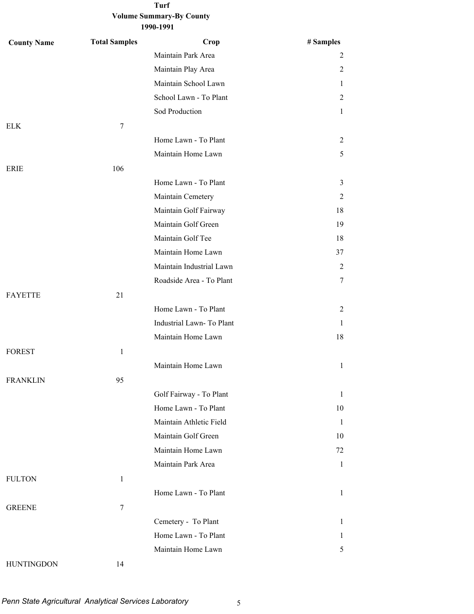**1990-1991**

| <b>County Name</b> | <b>Total Samples</b> | Crop                      | # Samples      |
|--------------------|----------------------|---------------------------|----------------|
|                    |                      | Maintain Park Area        | 2              |
|                    |                      | Maintain Play Area        | $\overline{2}$ |
|                    |                      | Maintain School Lawn      | $\mathbf{1}$   |
|                    |                      | School Lawn - To Plant    | $\overline{2}$ |
|                    |                      | Sod Production            | $\mathbf{1}$   |
| <b>ELK</b>         | 7                    |                           |                |
|                    |                      | Home Lawn - To Plant      | $\overline{2}$ |
|                    |                      | Maintain Home Lawn        | 5              |
| <b>ERIE</b>        | 106                  |                           |                |
|                    |                      | Home Lawn - To Plant      | 3              |
|                    |                      | Maintain Cemetery         | 2              |
|                    |                      | Maintain Golf Fairway     | 18             |
|                    |                      | Maintain Golf Green       | 19             |
|                    |                      | Maintain Golf Tee         | 18             |
|                    |                      | Maintain Home Lawn        | 37             |
|                    |                      | Maintain Industrial Lawn  | $\overline{2}$ |
|                    |                      | Roadside Area - To Plant  | $\tau$         |
| <b>FAYETTE</b>     | 21                   |                           |                |
|                    |                      | Home Lawn - To Plant      | $\overline{2}$ |
|                    |                      | Industrial Lawn- To Plant | 1              |
|                    |                      | Maintain Home Lawn        | 18             |
| <b>FOREST</b>      | $\mathbf{1}$         |                           |                |
|                    |                      | Maintain Home Lawn        | $\mathbf{1}$   |
| <b>FRANKLIN</b>    | 95                   |                           |                |
|                    |                      | Golf Fairway - To Plant   | $\mathbf{1}$   |
|                    |                      | Home Lawn - To Plant      | 10             |
|                    |                      | Maintain Athletic Field   | -1             |
|                    |                      | Maintain Golf Green       | 10             |
|                    |                      | Maintain Home Lawn        | 72             |
|                    |                      | Maintain Park Area        | $\mathbf{1}$   |
| <b>FULTON</b>      | $\mathbf{1}$         |                           |                |
|                    |                      | Home Lawn - To Plant      | $\mathbf{1}$   |
| <b>GREENE</b>      | $\tau$               |                           |                |
|                    |                      | Cemetery - To Plant       | 1              |
|                    |                      | Home Lawn - To Plant      | $\mathbf{1}$   |
|                    |                      | Maintain Home Lawn        | 5              |
| <b>HUNTINGDON</b>  | 14                   |                           |                |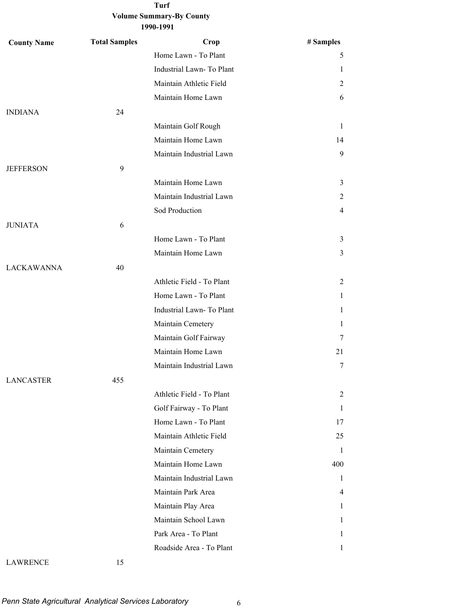**1990-1991**

| <b>County Name</b> | <b>Total Samples</b> | Crop                      | # Samples      |
|--------------------|----------------------|---------------------------|----------------|
|                    |                      | Home Lawn - To Plant      | 5              |
|                    |                      | Industrial Lawn-To Plant  | 1              |
|                    |                      | Maintain Athletic Field   | 2              |
|                    |                      | Maintain Home Lawn        | 6              |
| <b>INDIANA</b>     | 24                   |                           |                |
|                    |                      | Maintain Golf Rough       | 1              |
|                    |                      | Maintain Home Lawn        | 14             |
|                    |                      | Maintain Industrial Lawn  | 9              |
| <b>JEFFERSON</b>   | 9                    |                           |                |
|                    |                      | Maintain Home Lawn        | 3              |
|                    |                      | Maintain Industrial Lawn  | 2              |
|                    |                      | Sod Production            | $\overline{4}$ |
| <b>JUNIATA</b>     | 6                    |                           |                |
|                    |                      | Home Lawn - To Plant      | $\mathfrak{Z}$ |
|                    |                      | Maintain Home Lawn        | 3              |
| <b>LACKAWANNA</b>  | 40                   |                           |                |
|                    |                      | Athletic Field - To Plant | 2              |
|                    |                      | Home Lawn - To Plant      | $\mathbf{1}$   |
|                    |                      | Industrial Lawn- To Plant | 1              |
|                    |                      | Maintain Cemetery         | $\mathbf{1}$   |
|                    |                      | Maintain Golf Fairway     | 7              |
|                    |                      | Maintain Home Lawn        | 21             |
|                    |                      | Maintain Industrial Lawn  | 7              |
| <b>LANCASTER</b>   | 455                  |                           |                |
|                    |                      | Athletic Field - To Plant | 2              |
|                    |                      | Golf Fairway - To Plant   | 1              |
|                    |                      | Home Lawn - To Plant      | 17             |
|                    |                      | Maintain Athletic Field   | 25             |
|                    |                      | Maintain Cemetery         | 1              |
|                    |                      | Maintain Home Lawn        | 400            |
|                    |                      | Maintain Industrial Lawn  | 1              |
|                    |                      | Maintain Park Area        | $\overline{4}$ |
|                    |                      | Maintain Play Area        | $\mathbf{1}$   |
|                    |                      | Maintain School Lawn      | 1              |
|                    |                      | Park Area - To Plant      | $\mathbf{1}$   |
|                    |                      | Roadside Area - To Plant  | 1              |

#### LAWRENCE 15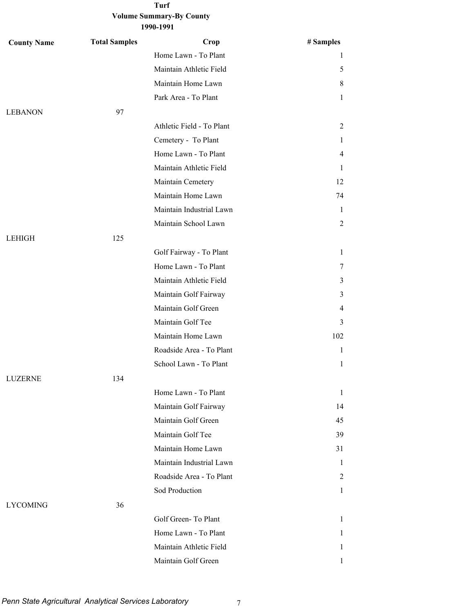**1990-1991**

| <b>County Name</b> | <b>Total Samples</b> | Crop                      | # Samples      |
|--------------------|----------------------|---------------------------|----------------|
|                    |                      | Home Lawn - To Plant      | 1              |
|                    |                      | Maintain Athletic Field   | 5              |
|                    |                      | Maintain Home Lawn        | 8              |
|                    |                      | Park Area - To Plant      | 1              |
| <b>LEBANON</b>     | 97                   |                           |                |
|                    |                      | Athletic Field - To Plant | 2              |
|                    |                      | Cemetery - To Plant       | 1              |
|                    |                      | Home Lawn - To Plant      | 4              |
|                    |                      | Maintain Athletic Field   | 1              |
|                    |                      | Maintain Cemetery         | 12             |
|                    |                      | Maintain Home Lawn        | 74             |
|                    |                      | Maintain Industrial Lawn  | 1              |
|                    |                      | Maintain School Lawn      | 2              |
| <b>LEHIGH</b>      | 125                  |                           |                |
|                    |                      | Golf Fairway - To Plant   | $\mathbf{1}$   |
|                    |                      | Home Lawn - To Plant      | 7              |
|                    |                      | Maintain Athletic Field   | 3              |
|                    |                      | Maintain Golf Fairway     | 3              |
|                    |                      | Maintain Golf Green       | $\overline{4}$ |
|                    |                      | Maintain Golf Tee         | 3              |
|                    |                      | Maintain Home Lawn        | 102            |
|                    |                      | Roadside Area - To Plant  | 1              |
|                    |                      | School Lawn - To Plant    | 1              |
| <b>LUZERNE</b>     | 134                  |                           |                |
|                    |                      | Home Lawn - To Plant      | $\mathbf{1}$   |
|                    |                      | Maintain Golf Fairway     | 14             |
|                    |                      | Maintain Golf Green       | 45             |
|                    |                      | Maintain Golf Tee         | 39             |
|                    |                      | Maintain Home Lawn        | 31             |
|                    |                      | Maintain Industrial Lawn  | $\mathbf{1}$   |
|                    |                      | Roadside Area - To Plant  | 2              |
|                    |                      | Sod Production            | $\mathbf{1}$   |
| <b>LYCOMING</b>    | 36                   |                           |                |
|                    |                      | Golf Green-To Plant       | $\mathbf{1}$   |
|                    |                      | Home Lawn - To Plant      | 1              |
|                    |                      | Maintain Athletic Field   | 1              |
|                    |                      | Maintain Golf Green       | 1              |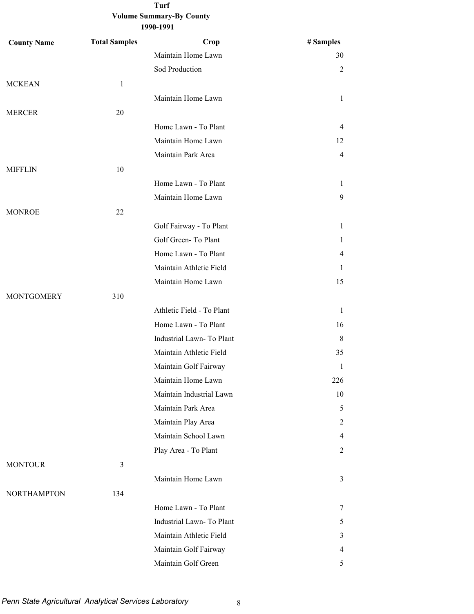| <b>County Name</b> | <b>Total Samples</b> | Crop                      | # Samples      |
|--------------------|----------------------|---------------------------|----------------|
|                    |                      | Maintain Home Lawn        | 30             |
|                    |                      | Sod Production            | $\overline{2}$ |
| <b>MCKEAN</b>      | $\mathbf{1}$         |                           |                |
|                    |                      | Maintain Home Lawn        | $\mathbf{1}$   |
| <b>MERCER</b>      | 20                   |                           |                |
|                    |                      | Home Lawn - To Plant      | $\overline{4}$ |
|                    |                      | Maintain Home Lawn        | 12             |
|                    |                      | Maintain Park Area        | $\overline{4}$ |
| <b>MIFFLIN</b>     | 10                   |                           |                |
|                    |                      | Home Lawn - To Plant      | $\mathbf{1}$   |
|                    |                      | Maintain Home Lawn        | 9              |
| <b>MONROE</b>      | 22                   |                           |                |
|                    |                      | Golf Fairway - To Plant   | $\mathbf{1}$   |
|                    |                      | Golf Green-To Plant       | $\mathbf{1}$   |
|                    |                      | Home Lawn - To Plant      | $\overline{4}$ |
|                    |                      | Maintain Athletic Field   | 1              |
|                    |                      | Maintain Home Lawn        | 15             |
| <b>MONTGOMERY</b>  | 310                  |                           |                |
|                    |                      | Athletic Field - To Plant | 1              |
|                    |                      | Home Lawn - To Plant      | 16             |
|                    |                      | Industrial Lawn-To Plant  | 8              |
|                    |                      | Maintain Athletic Field   | 35             |
|                    |                      | Maintain Golf Fairway     | 1              |
|                    |                      | Maintain Home Lawn        | 226            |
|                    |                      | Maintain Industrial Lawn  | 10             |
|                    |                      | Maintain Park Area        | 5              |
|                    |                      | Maintain Play Area        | 2              |
|                    |                      | Maintain School Lawn      | $\overline{4}$ |
|                    |                      | Play Area - To Plant      | 2              |
| <b>MONTOUR</b>     | 3                    |                           |                |
|                    |                      | Maintain Home Lawn        | 3              |
| <b>NORTHAMPTON</b> | 134                  |                           |                |
|                    |                      | Home Lawn - To Plant      | 7              |
|                    |                      | Industrial Lawn- To Plant | 5              |
|                    |                      | Maintain Athletic Field   | 3              |
|                    |                      | Maintain Golf Fairway     | 4              |
|                    |                      | Maintain Golf Green       | 5              |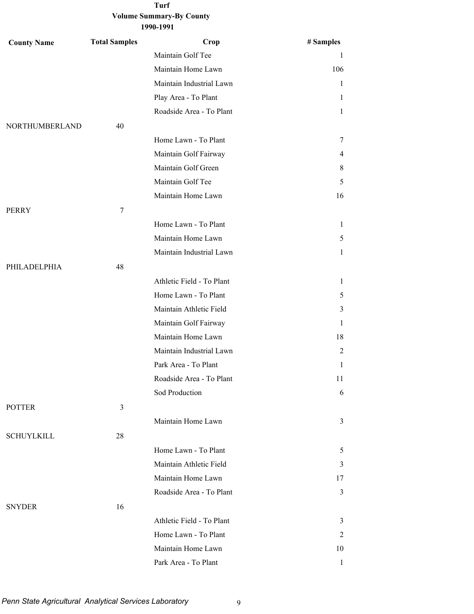**1990-1991**

| <b>County Name</b> | <b>Total Samples</b> | Crop                      | # Samples    |
|--------------------|----------------------|---------------------------|--------------|
|                    |                      | Maintain Golf Tee         | 1            |
|                    |                      | Maintain Home Lawn        | 106          |
|                    |                      | Maintain Industrial Lawn  | 1            |
|                    |                      | Play Area - To Plant      | 1            |
|                    |                      | Roadside Area - To Plant  | 1            |
| NORTHUMBERLAND     | 40                   |                           |              |
|                    |                      | Home Lawn - To Plant      | 7            |
|                    |                      | Maintain Golf Fairway     | 4            |
|                    |                      | Maintain Golf Green       | 8            |
|                    |                      | Maintain Golf Tee         | 5            |
|                    |                      | Maintain Home Lawn        | 16           |
| PERRY              | 7                    |                           |              |
|                    |                      | Home Lawn - To Plant      | 1            |
|                    |                      | Maintain Home Lawn        | 5            |
|                    |                      | Maintain Industrial Lawn  | 1            |
| PHILADELPHIA       | 48                   |                           |              |
|                    |                      | Athletic Field - To Plant | 1            |
|                    |                      | Home Lawn - To Plant      | 5            |
|                    |                      | Maintain Athletic Field   | 3            |
|                    |                      | Maintain Golf Fairway     | 1            |
|                    |                      | Maintain Home Lawn        | 18           |
|                    |                      | Maintain Industrial Lawn  | 2            |
|                    |                      | Park Area - To Plant      | 1            |
|                    |                      | Roadside Area - To Plant  | 11           |
|                    |                      | Sod Production            | 6            |
| <b>POTTER</b>      | $\mathfrak{Z}$       |                           |              |
|                    |                      | Maintain Home Lawn        | 3            |
| <b>SCHUYLKILL</b>  | 28                   |                           |              |
|                    |                      | Home Lawn - To Plant      | 5            |
|                    |                      | Maintain Athletic Field   | 3            |
|                    |                      | Maintain Home Lawn        | 17           |
|                    |                      | Roadside Area - To Plant  | 3            |
| <b>SNYDER</b>      | 16                   |                           |              |
|                    |                      | Athletic Field - To Plant | 3            |
|                    |                      | Home Lawn - To Plant      | 2            |
|                    |                      | Maintain Home Lawn        | 10           |
|                    |                      | Park Area - To Plant      | $\mathbf{1}$ |

Penn State Agricultural Analytical Services Laboratory 9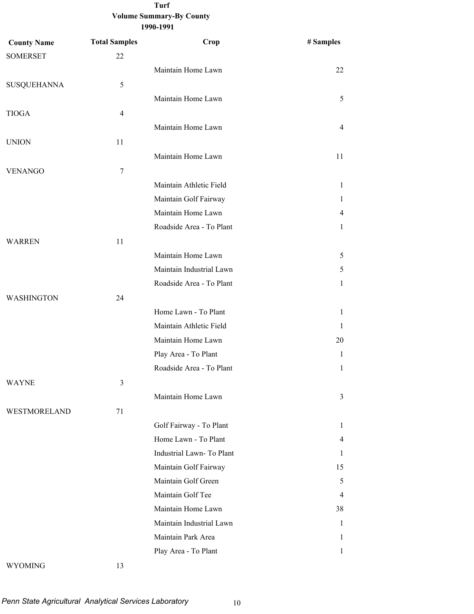| <b>County Name</b> | <b>Total Samples</b> | Crop                     | # Samples      |
|--------------------|----------------------|--------------------------|----------------|
| <b>SOMERSET</b>    | 22                   |                          |                |
|                    |                      | Maintain Home Lawn       | 22             |
| <b>SUSQUEHANNA</b> | 5                    |                          |                |
|                    |                      | Maintain Home Lawn       | 5              |
| <b>TIOGA</b>       | 4                    |                          |                |
|                    |                      | Maintain Home Lawn       | $\overline{4}$ |
| <b>UNION</b>       | 11                   |                          |                |
|                    |                      | Maintain Home Lawn       | 11             |
| <b>VENANGO</b>     | $\tau$               |                          |                |
|                    |                      | Maintain Athletic Field  | $\mathbf{1}$   |
|                    |                      | Maintain Golf Fairway    | 1              |
|                    |                      | Maintain Home Lawn       | $\overline{4}$ |
|                    |                      | Roadside Area - To Plant | $\mathbf{1}$   |
| <b>WARREN</b>      | 11                   |                          |                |
|                    |                      | Maintain Home Lawn       | 5              |
|                    |                      | Maintain Industrial Lawn | 5              |
|                    |                      | Roadside Area - To Plant | $\mathbf{1}$   |
| <b>WASHINGTON</b>  | 24                   |                          |                |
|                    |                      | Home Lawn - To Plant     | $\mathbf{1}$   |
|                    |                      | Maintain Athletic Field  | 1              |
|                    |                      | Maintain Home Lawn       | 20             |
|                    |                      | Play Area - To Plant     | 1              |
|                    |                      | Roadside Area - To Plant | 1              |
| WAYNE              | 3                    |                          |                |
|                    |                      | Maintain Home Lawn       | 3              |
| WESTMORELAND       | 71                   |                          |                |
|                    |                      | Golf Fairway - To Plant  | 1              |
|                    |                      | Home Lawn - To Plant     | 4              |
|                    |                      | Industrial Lawn-To Plant | 1              |
|                    |                      | Maintain Golf Fairway    | 15             |
|                    |                      | Maintain Golf Green      | 5              |
|                    |                      | Maintain Golf Tee        | 4              |
|                    |                      | Maintain Home Lawn       | 38             |
|                    |                      | Maintain Industrial Lawn | 1              |
|                    |                      | Maintain Park Area       | 1              |
|                    |                      | Play Area - To Plant     | $\mathbf{1}$   |
|                    |                      |                          |                |